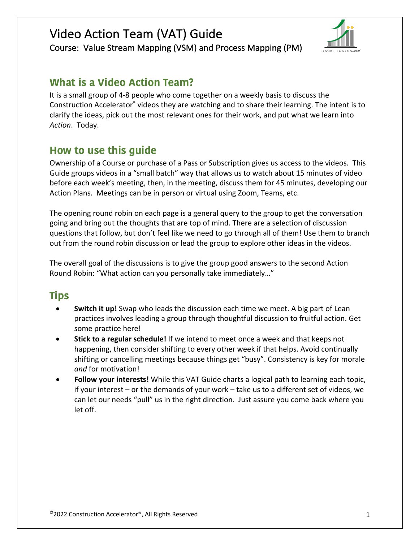

Course: Value Stream Mapping (VSM) and Process Mapping (PM)

# **What is a Video Action Team?**

It is a small group of 4-8 people who come together on a weekly basis to discuss the Construction Accelerator® videos they are watching and to share their learning. The intent is to clarify the ideas, pick out the most relevant ones for their work, and put what we learn into *Action*. Today.

# **How to use this guide**

Ownership of a Course or purchase of a Pass or Subscription gives us access to the videos. This Guide groups videos in a "small batch" way that allows us to watch about 15 minutes of video before each week's meeting, then, in the meeting, discuss them for 45 minutes, developing our Action Plans. Meetings can be in person or virtual using Zoom, Teams, etc.

The opening round robin on each page is a general query to the group to get the conversation going and bring out the thoughts that are top of mind. There are a selection of discussion questions that follow, but don't feel like we need to go through all of them! Use them to branch out from the round robin discussion or lead the group to explore other ideas in the videos.

The overall goal of the discussions is to give the group good answers to the second Action Round Robin: "What action can you personally take immediately…"

# **Tips**

- **Switch it up!** Swap who leads the discussion each time we meet. A big part of Lean practices involves leading a group through thoughtful discussion to fruitful action. Get some practice here!
- **Stick to a regular schedule!** If we intend to meet once a week and that keeps not happening, then consider shifting to every other week if that helps. Avoid continually shifting or cancelling meetings because things get "busy". Consistency is key for morale *and* for motivation!
- **Follow your interests!** While this VAT Guide charts a logical path to learning each topic, if your interest – or the demands of your work – take us to a different set of videos, we can let our needs "pull" us in the right direction. Just assure you come back where you let off.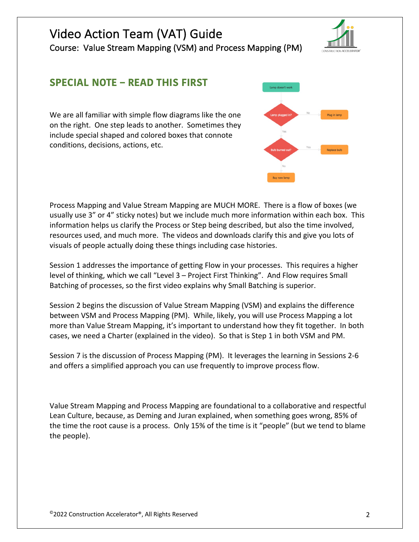Course: Value Stream Mapping (VSM) and Process Mapping (PM)

# **SPECIAL NOTE – READ THIS FIRST**

We are all familiar with simple flow diagrams like the one on the right. One step leads to another. Sometimes they include special shaped and colored boxes that connote conditions, decisions, actions, etc.

Process Mapping and Value Stream Mapping are MUCH MORE. There is a flow of boxes (we usually use 3" or 4" sticky notes) but we include much more information within each box. This information helps us clarify the Process or Step being described, but also the time involved, resources used, and much more. The videos and downloads clarify this and give you lots of visuals of people actually doing these things including case histories.

Session 1 addresses the importance of getting Flow in your processes. This requires a higher level of thinking, which we call "Level 3 – Project First Thinking". And Flow requires Small Batching of processes, so the first video explains why Small Batching is superior.

Session 2 begins the discussion of Value Stream Mapping (VSM) and explains the difference between VSM and Process Mapping (PM). While, likely, you will use Process Mapping a lot more than Value Stream Mapping, it's important to understand how they fit together. In both cases, we need a Charter (explained in the video). So that is Step 1 in both VSM and PM.

Session 7 is the discussion of Process Mapping (PM). It leverages the learning in Sessions 2-6 and offers a simplified approach you can use frequently to improve process flow.

Value Stream Mapping and Process Mapping are foundational to a collaborative and respectful Lean Culture, because, as Deming and Juran explained, when something goes wrong, 85% of the time the root cause is a process. Only 15% of the time is it "people" (but we tend to blame the people).



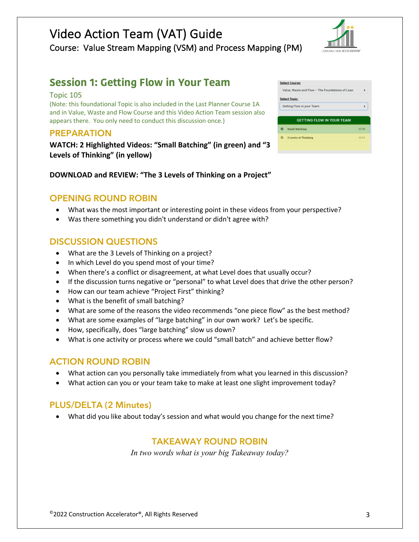# Video Action Team (VAT) Guide Course: Value Stream Mapping (VSM) and Process Mapping (PM)



# **Session 1: Getting Flow in Your Team**

#### Topic 105

(Note: this foundational Topic is also included in the Last Planner Course 1A and in Value, Waste and Flow Course and this Video Action Team session also appears there. You only need to conduct this discussion once.)

#### **PREPARATION**

**WATCH: 2 Highlighted Videos: "Small Batching" (in green) and "3 Levels of Thinking" (in yellow)**

| DOWNLOAD and REVIEW: "The 3 Levels of Thinking on a Project" |  |
|--------------------------------------------------------------|--|
|--------------------------------------------------------------|--|

# **OPENING ROUND ROBIN**

- What was the most important or interesting point in these videos from your perspective?
- Was there something you didn't understand or didn't agree with?

# **DISCUSSION QUESTIONS**

- What are the 3 Levels of Thinking on a project?
- In which Level do you spend most of your time?
- When there's a conflict or disagreement, at what Level does that usually occur?
- If the discussion turns negative or "personal" to what Level does that drive the other person?
- How can our team achieve "Project First" thinking?
- What is the benefit of small batching?
- What are some of the reasons the video recommends "one piece flow" as the best method?
- What are some examples of "large batching" in our own work? Let's be specific.
- How, specifically, does "large batching" slow us down?
- What is one activity or process where we could "small batch" and achieve better flow?

### **ACTION ROUND ROBIN**

- What action can you personally take immediately from what you learned in this discussion?
- What action can you or your team take to make at least one slight improvement today?

### **PLUS/DELTA (2 Minutes)**

• What did you like about today's session and what would you change for the next time?

### **TAKEAWAY ROUND ROBIN**

|                                  | <b>Select Course:</b>                           |       |  |
|----------------------------------|-------------------------------------------------|-------|--|
|                                  | Value, Waste and Flow - The Foundations of Lean | ۰     |  |
| <b>Select Topic:</b>             |                                                 |       |  |
|                                  | Getting Flow in your Team                       |       |  |
|                                  |                                                 |       |  |
| <b>GETTING FLOW IN YOUR TEAM</b> |                                                 |       |  |
|                                  |                                                 |       |  |
| Ω                                | <b>Small Batching</b>                           | 03:38 |  |
| Ω                                | <b>3 Levels of Thinking</b>                     | 05:04 |  |
|                                  |                                                 |       |  |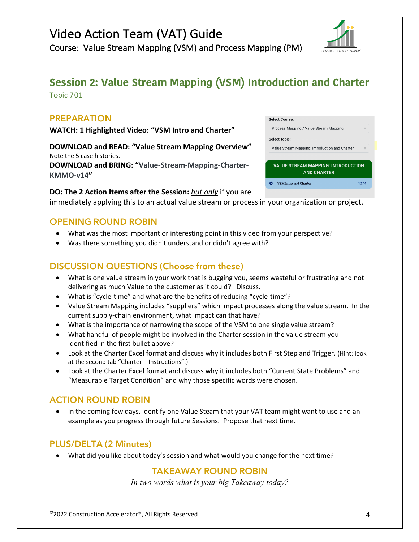Course: Value Stream Mapping (VSM) and Process Mapping (PM)

# **Session 2: Value Stream Mapping (VSM) Introduction and Charter**

Topic 701

# **PREPARATION**

**WATCH: 1 Highlighted Video: "VSM Intro and Charter"**

**DOWNLOAD and READ: "Value Stream Mapping Overview"** Note the 5 case histories. **DOWNLOAD and BRING: "Value-Stream-Mapping-Charter-KMMO-v14"**

#### **DO: The 2 Action Items after the Session:** *but only* if you are

immediately applying this to an actual value stream or process in your organization or project.

# **OPENING ROUND ROBIN**

- What was the most important or interesting point in this video from your perspective?
- Was there something you didn't understand or didn't agree with?

# **DISCUSSION QUESTIONS (Choose from these)**

- What is one value stream in your work that is bugging you, seems wasteful or frustrating and not delivering as much Value to the customer as it could? Discuss.
- What is "cycle-time" and what are the benefits of reducing "cycle-time"?
- Value Stream Mapping includes "suppliers" which impact processes along the value stream. In the current supply-chain environment, what impact can that have?
- What is the importance of narrowing the scope of the VSM to one single value stream?
- What handful of people might be involved in the Charter session in the value stream you identified in the first bullet above?
- Look at the Charter Excel format and discuss why it includes both First Step and Trigger. (Hint: look at the second tab "Charter – Instructions".)
- Look at the Charter Excel format and discuss why it includes both "Current State Problems" and "Measurable Target Condition" and why those specific words were chosen.

# **ACTION ROUND ROBIN**

• In the coming few days, identify one Value Steam that your VAT team might want to use and an example as you progress through future Sessions. Propose that next time.

### **PLUS/DELTA (2 Minutes)**

• What did you like about today's session and what would you change for the next time?

# **TAKEAWAY ROUND ROBIN**



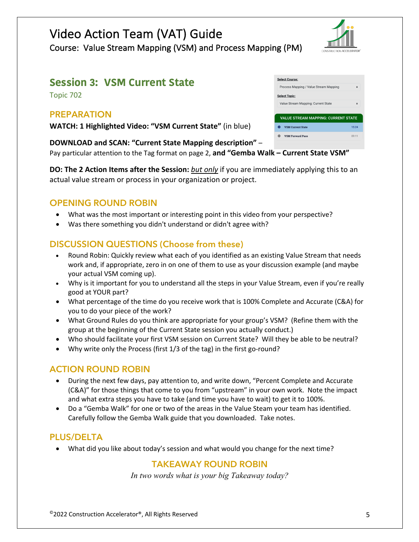# **Session 3: VSM Current State**

Topic 702

# **PREPARATION**

**WATCH: 1 Highlighted Video: "VSM Current State"** (in blue)

#### **DOWNLOAD and SCAN: "Current State Mapping description"** –

Pay particular attention to the Tag format on page 2, **and "Gemba Walk – Current State VSM"**

**DO: The 2 Action Items after the Session:** *but only* if you are immediately applying this to an actual value stream or process in your organization or project.

# **OPENING ROUND ROBIN**

- What was the most important or interesting point in this video from your perspective?
- Was there something you didn't understand or didn't agree with?

# **DISCUSSION QUESTIONS (Choose from these)**

- Round Robin: Quickly review what each of you identified as an existing Value Stream that needs work and, if appropriate, zero in on one of them to use as your discussion example (and maybe your actual VSM coming up).
- Why is it important for you to understand all the steps in your Value Stream, even if you're really good at YOUR part?
- What percentage of the time do you receive work that is 100% Complete and Accurate (C&A) for you to do your piece of the work?
- What Ground Rules do you think are appropriate for your group's VSM? (Refine them with the group at the beginning of the Current State session you actually conduct.)
- Who should facilitate your first VSM session on Current State? Will they be able to be neutral?
- Why write only the Process (first 1/3 of the tag) in the first go-round?

# **ACTION ROUND ROBIN**

- During the next few days, pay attention to, and write down, "Percent Complete and Accurate (C&A)" for those things that come to you from "upstream" in your own work. Note the impact and what extra steps you have to take (and time you have to wait) to get it to 100%.
- Do a "Gemba Walk" for one or two of the areas in the Value Steam your team has identified. Carefully follow the Gemba Walk guide that you downloaded. Take notes.

### **PLUS/DELTA**

• What did you like about today's session and what would you change for the next time?

### **TAKEAWAY ROUND ROBIN**

*In two words what is your big Takeaway today?*

|   | Process Mapping / Value Stream Mapping     | ۵     |
|---|--------------------------------------------|-------|
|   | <b>Select Topic:</b>                       |       |
|   | Value Stream Mapping: Current State        |       |
|   |                                            |       |
|   | <b>VALUE STREAM MAPPING: CURRENT STATE</b> |       |
| Œ | <b>VSM Current State</b>                   | 15:24 |
| o | <b>VSM Forward Pass</b>                    | 09:11 |
|   |                                            |       |

Select Course: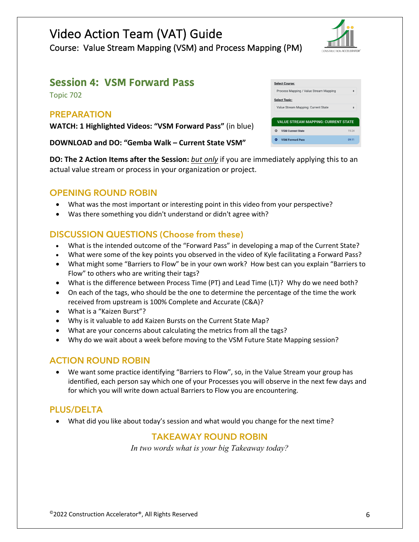Course: Value Stream Mapping (VSM) and Process Mapping (PM)

# **Session 4: VSM Forward Pass**

Topic 702

# **PREPARATION**

**WATCH: 1 Highlighted Videos: "VSM Forward Pass"** (in blue)

**DOWNLOAD and DO: "Gemba Walk – Current State VSM"**

**DO: The 2 Action Items after the Session:** *but only* if you are immediately applying this to an actual value stream or process in your organization or project.

# **OPENING ROUND ROBIN**

- What was the most important or interesting point in this video from your perspective?
- Was there something you didn't understand or didn't agree with?

# **DISCUSSION QUESTIONS (Choose from these)**

- What is the intended outcome of the "Forward Pass" in developing a map of the Current State?
- What were some of the key points you observed in the video of Kyle facilitating a Forward Pass?
- What might some "Barriers to Flow" be in your own work? How best can you explain "Barriers to Flow" to others who are writing their tags?
- What is the difference between Process Time (PT) and Lead Time (LT)? Why do we need both?
- On each of the tags, who should be the one to determine the percentage of the time the work received from upstream is 100% Complete and Accurate (C&A)?
- What is a "Kaizen Burst"?
- Why is it valuable to add Kaizen Bursts on the Current State Map?
- What are your concerns about calculating the metrics from all the tags?
- Why do we wait about a week before moving to the VSM Future State Mapping session?

# **ACTION ROUND ROBIN**

• We want some practice identifying "Barriers to Flow", so, in the Value Stream your group has identified, each person say which one of your Processes you will observe in the next few days and for which you will write down actual Barriers to Flow you are encountering.

# **PLUS/DELTA**

• What did you like about today's session and what would you change for the next time?

# **TAKEAWAY ROUND ROBIN**

| <b>Select Course:</b>                      |       |  |
|--------------------------------------------|-------|--|
| Process Mapping / Value Stream Mapping     | ۵     |  |
| <b>Select Topic:</b>                       |       |  |
| Value Stream Mapping: Current State        |       |  |
|                                            |       |  |
| <b>VALUE STREAM MAPPING: CURRENT STATE</b> |       |  |
| <b>VSM Current State</b><br>o              | 15:24 |  |
| <b>VSM Forward Pass</b>                    | 09:11 |  |

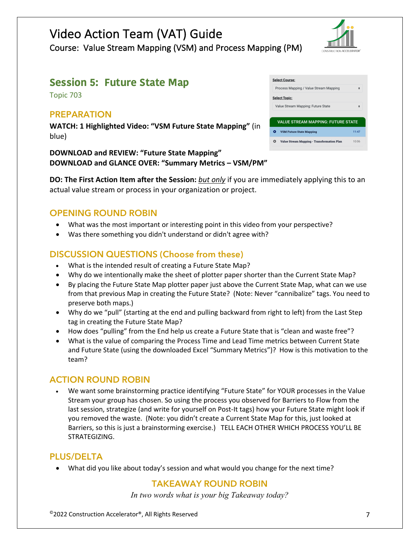

# **Session 5: Future State Map**

Topic 703

### **PREPARATION**

**WATCH: 1 Highlighted Video: "VSM Future State Mapping"** (in blue)

#### **DOWNLOAD and REVIEW: "Future State Mapping" DOWNLOAD and GLANCE OVER: "Summary Metrics – VSM/PM"**

**DO: The First Action Item after the Session:** *but only* if you are immediately applying this to an actual value stream or process in your organization or project.

#### **OPENING ROUND ROBIN**

- What was the most important or interesting point in this video from your perspective?
- Was there something you didn't understand or didn't agree with?

# **DISCUSSION QUESTIONS (Choose from these)**

- What is the intended result of creating a Future State Map?
- Why do we intentionally make the sheet of plotter paper shorter than the Current State Map?
- By placing the Future State Map plotter paper just above the Current State Map, what can we use from that previous Map in creating the Future State? (Note: Never "cannibalize" tags. You need to preserve both maps.)
- Why do we "pull" (starting at the end and pulling backward from right to left) from the Last Step tag in creating the Future State Map?
- How does "pulling" from the End help us create a Future State that is "clean and waste free"?
- What is the value of comparing the Process Time and Lead Time metrics between Current State and Future State (using the downloaded Excel "Summary Metrics")? How is this motivation to the team?

### **ACTION ROUND ROBIN**

• We want some brainstorming practice identifying "Future State" for YOUR processes in the Value Stream your group has chosen. So using the process you observed for Barriers to Flow from the last session, strategize (and write for yourself on Post-It tags) how your Future State might look if you removed the waste. (Note: you didn't create a Current State Map for this, just looked at Barriers, so this is just a brainstorming exercise.) TELL EACH OTHER WHICH PROCESS YOU'LL BE STRATEGIZING.

### **PLUS/DELTA**

• What did you like about today's session and what would you change for the next time?

#### **TAKEAWAY ROUND ROBIN**

| <b>Select Course:</b>                           |       |  |  |
|-------------------------------------------------|-------|--|--|
| Process Mapping / Value Stream Mapping          |       |  |  |
| <b>Select Topic:</b>                            |       |  |  |
| Value Stream Mapping: Future State              |       |  |  |
|                                                 |       |  |  |
| <b>VALUE STREAM MAPPING: FUTURE STATE</b>       |       |  |  |
| <b>VSM Future State Mapping</b>                 | 11:47 |  |  |
| Value Stream Mapping - Transformation Plan<br>o | 10:06 |  |  |
|                                                 |       |  |  |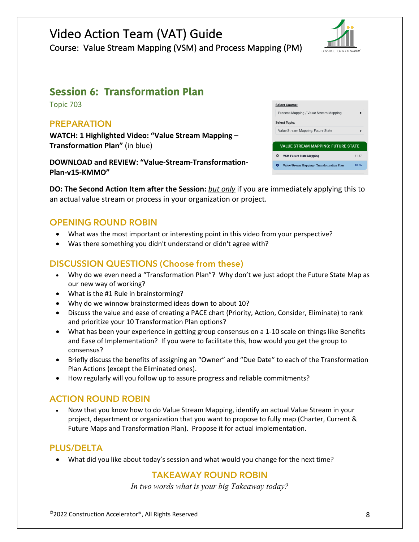# Video Action Team (VAT) Guide Course: Value Stream Mapping (VSM) and Process Mapping (PM)



# **Session 6: Transformation Plan**

Topic 703

# **PREPARATION**

**WATCH: 1 Highlighted Video: "Value Stream Mapping – Transformation Plan"** (in blue)

**DOWNLOAD and REVIEW: "Value-Stream-Transformation-Plan-v15-KMMO"**

| <b>Select Course:</b>                                  |              |  |  |
|--------------------------------------------------------|--------------|--|--|
| Process Mapping / Value Stream Mapping<br>$\triangleq$ |              |  |  |
| <b>Select Topic:</b>                                   |              |  |  |
| Value Stream Mapping: Future State                     | $\triangleq$ |  |  |
|                                                        |              |  |  |
| <b>VALUE STREAM MAPPING: FUTURE STATE</b>              |              |  |  |
| <b>VSM Future State Mapping</b>                        | $11 - 47$    |  |  |
| <b>Value Stream Mapping - Transformation Plan</b>      | 10:06        |  |  |
|                                                        |              |  |  |

**DO: The Second Action Item after the Session:** *but only* if you are immediately applying this to an actual value stream or process in your organization or project.

# **OPENING ROUND ROBIN**

- What was the most important or interesting point in this video from your perspective?
- Was there something you didn't understand or didn't agree with?

# **DISCUSSION QUESTIONS (Choose from these)**

- Why do we even need a "Transformation Plan"? Why don't we just adopt the Future State Map as our new way of working?
- What is the #1 Rule in brainstorming?
- Why do we winnow brainstormed ideas down to about 10?
- Discuss the value and ease of creating a PACE chart (Priority, Action, Consider, Eliminate) to rank and prioritize your 10 Transformation Plan options?
- What has been your experience in getting group consensus on a 1-10 scale on things like Benefits and Ease of Implementation? If you were to facilitate this, how would you get the group to consensus?
- Briefly discuss the benefits of assigning an "Owner" and "Due Date" to each of the Transformation Plan Actions (except the Eliminated ones).
- How regularly will you follow up to assure progress and reliable commitments?

# **ACTION ROUND ROBIN**

• Now that you know how to do Value Stream Mapping, identify an actual Value Stream in your project, department or organization that you want to propose to fully map (Charter, Current & Future Maps and Transformation Plan). Propose it for actual implementation.

# **PLUS/DELTA**

• What did you like about today's session and what would you change for the next time?

# **TAKEAWAY ROUND ROBIN**